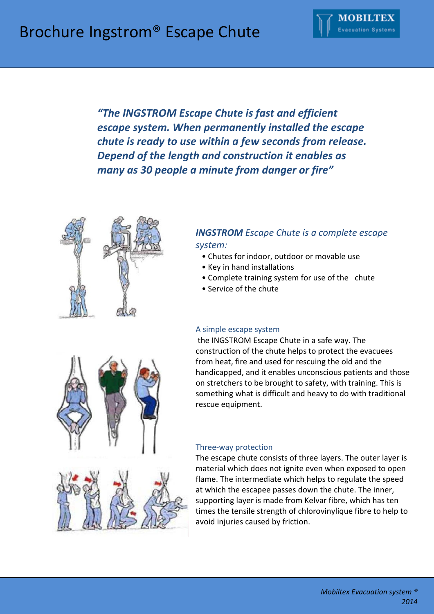

*"The INGSTROM Escape Chute is fast and efficient escape system. When permanently installed the escape chute is ready to use within a few seconds from release. Depend of the length and construction it enables as many as 30 people a minute from danger or fire"*



# *INGSTROM Escape Chute is a complete escape system:*

- Chutes for indoor, outdoor or movable use
- Key in hand installations
- Complete training system for use of the chute
- . Service of the chute

### A simple escape system

the INGSTROM Escape Chute in a safe way. The construction of the chute helps to protect the evacuees from heat, fire and used for rescuing the old and the handicapped, and it enables unconscious patients and those on stretchers to be brought to safety, with training. This is something what is difficult and heavy to do with traditional rescue equipment.

### Three-way protection

The escape chute consists of three layers. The outer layer is material which does not ignite even when exposed to open flame. The intermediate which helps to regulate the speed at which the escapee passes down the chute. The inner, supporting layer is made from Kelvar fibre, which has ten times the tensile strength of chlorovinylique fibre to help to avoid injuries caused by friction.

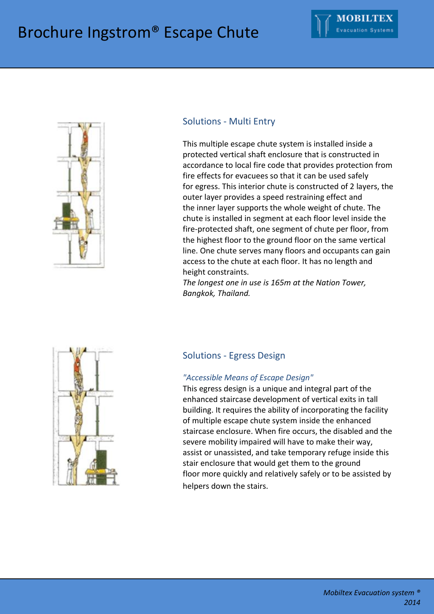

### Solutions - Multi Entry

This multiple escape chute system is installed inside a protected vertical shaft enclosure that is constructed in accordance to local fire code that provides protection from fire effects for evacuees so that it can be used safely for egress. This interior chute is constructed of 2 layers, the outer layer provides a speed restraining effect and the inner layer supports the whole weight of chute. The chute is installed in segment at each floor level inside the fire-protected shaft, one segment of chute per floor, from the highest floor to the ground floor on the same vertical line. One chute serves many floors and occupants can gain access to the chute at each floor. It has no length and height constraints.

*The longest one in use is 165m at the Nation Tower, Bangkok, Thailand.*



### Solutions - Egress Design

### *"Accessible Means of Escape Design"*

This egress design is a unique and integral part of the enhanced staircase development of vertical exits in tall building. It requires the ability of incorporating the facility of multiple escape chute system inside the enhanced staircase enclosure. When fire occurs, the disabled and the severe mobility impaired will have to make their way, assist or unassisted, and take temporary refuge inside this stair enclosure that would get them to the ground floor more quickly and relatively safely or to be assisted by helpers down the stairs.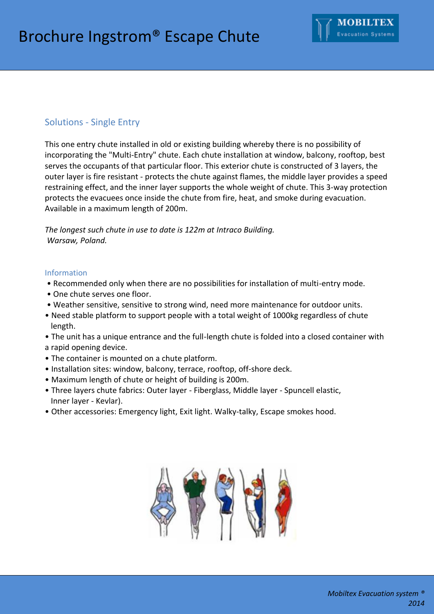### Solutions - Single Entry

This one entry chute installed in old or existing building whereby there is no possibility of incorporating the "Multi-Entry" chute. Each chute installation at window, balcony, rooftop, best serves the occupants of that particular floor. This exterior chute is constructed of 3 layers, the outer layer is fire resistant - protects the chute against flames, the middle layer provides a speed restraining effect, and the inner layer supports the whole weight of chute. This 3-way protection protects the evacuees once inside the chute from fire, heat, and smoke during evacuation. Available in a maximum length of 200m.

*The longest such chute in use to date is 122m at Intraco Building. Warsaw, Poland.*

#### Information

- Recommended only when there are no possibilities for installation of multi-entry mode.
- One chute serves one floor.
- Weather sensitive, sensitive to strong wind, need more maintenance for outdoor units.
- Need stable platform to support people with a total weight of 1000kg regardless of chute length.
- The unit has a unique entrance and the full-length chute is folded into a closed container with a rapid opening device.
- The container is mounted on a chute platform.
- Installation sites: window, balcony, terrace, rooftop, off-shore deck.
- Maximum length of chute or height of building is 200m.
- Three layers chute fabrics: Outer layer Fiberglass, Middle layer Spuncell elastic, Inner layer - Kevlar).
- Other accessories: Emergency light, Exit light. Walky-talky, Escape smokes hood.